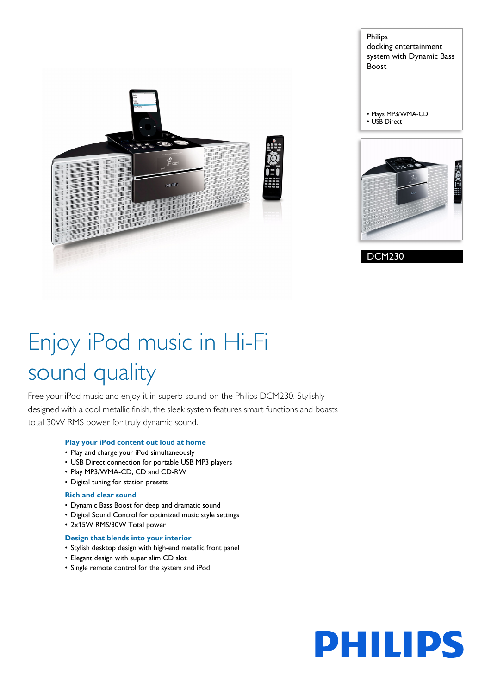

Philips docking entertainment system with Dynamic Bass Boost

• Plays MP3/WMA-CD • USB Direct



DCM230

# Enjoy iPod music in Hi-Fi sound quality

Free your iPod music and enjoy it in superb sound on the Philips DCM230. Stylishly designed with a cool metallic finish, the sleek system features smart functions and boasts total 30W RMS power for truly dynamic sound.

# **Play your iPod content out loud at home**

- Play and charge your iPod simultaneously
- USB Direct connection for portable USB MP3 players
- Play MP3/WMA-CD, CD and CD-RW
- Digital tuning for station presets

# **Rich and clear sound**

- Dynamic Bass Boost for deep and dramatic sound
- Digital Sound Control for optimized music style settings
- 2x15W RMS/30W Total power

### **Design that blends into your interior**

- Stylish desktop design with high-end metallic front panel
- Elegant design with super slim CD slot
- Single remote control for the system and iPod

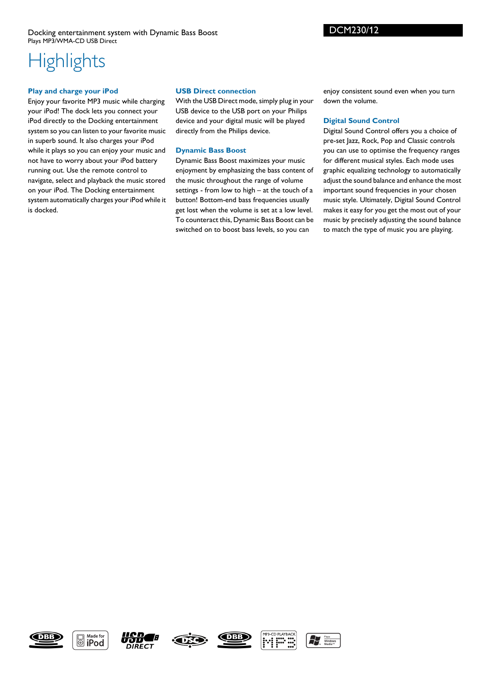# **Highlights**

### **Play and charge your iPod**

Enjoy your favorite MP3 music while charging your iPod! The dock lets you connect your iPod directly to the Docking entertainment system so you can listen to your favorite music in superb sound. It also charges your iPod while it plays so you can enjoy your music and not have to worry about your iPod battery running out. Use the remote control to navigate, select and playback the music stored on your iPod. The Docking entertainment system automatically charges your iPod while it is docked.

## **USB Direct connection**

With the USB Direct mode, simply plug in your USB device to the USB port on your Philips device and your digital music will be played directly from the Philips device.

# **Dynamic Bass Boost**

Dynamic Bass Boost maximizes your music enjoyment by emphasizing the bass content of the music throughout the range of volume settings - from low to high – at the touch of a button! Bottom-end bass frequencies usually get lost when the volume is set at a low level. To counteract this, Dynamic Bass Boost can be switched on to boost bass levels, so you can

enjoy consistent sound even when you turn down the volume.

# **Digital Sound Control**

Digital Sound Control offers you a choice of pre-set Jazz, Rock, Pop and Classic controls you can use to optimise the frequency ranges for different musical styles. Each mode uses graphic equalizing technology to automatically adjust the sound balance and enhance the most important sound frequencies in your chosen music style. Ultimately, Digital Sound Control makes it easy for you get the most out of your music by precisely adjusting the sound balance to match the type of music you are playing.